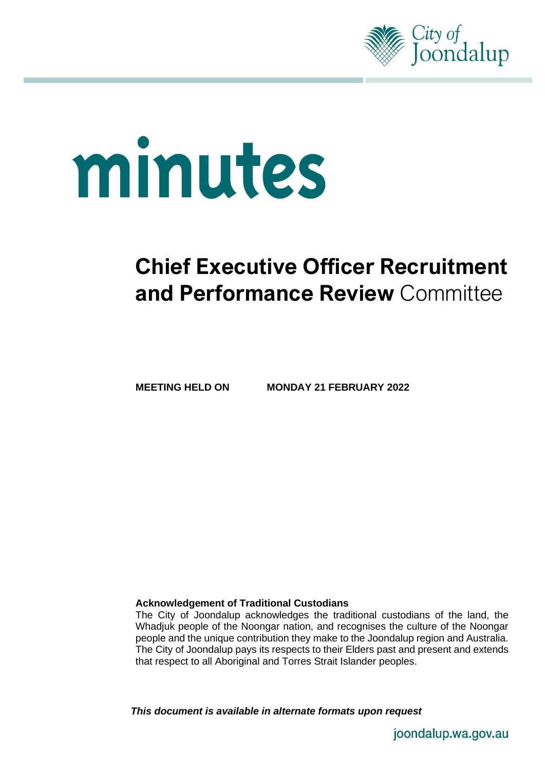

# minutes

# **Chief Executive Officer Recruitment and Performance Review** Committee

**MEETING HELD ON MONDAY 21 FEBRUARY 2022**

#### **Acknowledgement of Traditional Custodians**

The City of Joondalup acknowledges the traditional custodians of the land, the Whadjuk people of the Noongar nation, and recognises the culture of the Noongar people and the unique contribution they make to the Joondalup region and Australia. The City of Joondalup pays its respects to their Elders past and present and extends that respect to all Aboriginal and Torres Strait Islander peoples.

*This document is available in alternate formats upon request*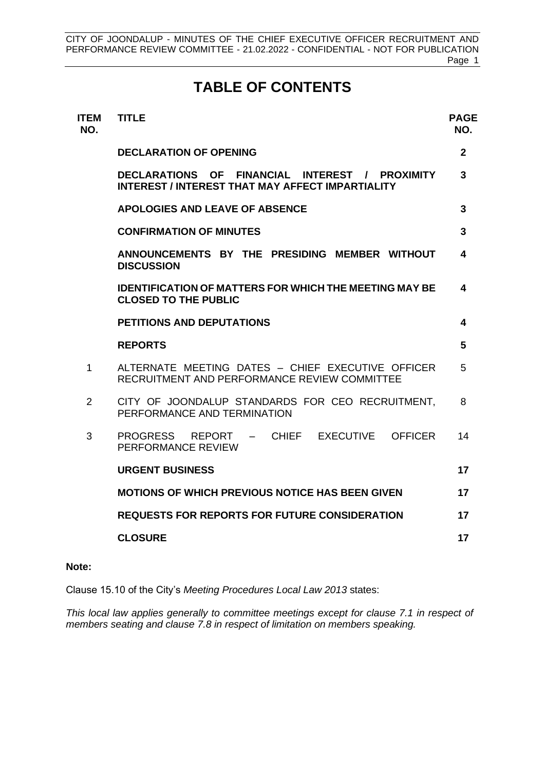# **TABLE OF CONTENTS**

| <b>ITEM</b><br>NO. | <b>TITLE</b>                                                                                              | <b>PAGE</b><br>NO. |  |
|--------------------|-----------------------------------------------------------------------------------------------------------|--------------------|--|
|                    | <b>DECLARATION OF OPENING</b>                                                                             | $\mathbf{2}$       |  |
|                    | DECLARATIONS OF FINANCIAL INTEREST / PROXIMITY<br><b>INTEREST / INTEREST THAT MAY AFFECT IMPARTIALITY</b> | 3                  |  |
|                    | APOLOGIES AND LEAVE OF ABSENCE                                                                            |                    |  |
|                    | <b>CONFIRMATION OF MINUTES</b>                                                                            | 3                  |  |
|                    | ANNOUNCEMENTS BY THE PRESIDING MEMBER WITHOUT<br><b>DISCUSSION</b>                                        | 4                  |  |
|                    | <b>IDENTIFICATION OF MATTERS FOR WHICH THE MEETING MAY BE</b><br><b>CLOSED TO THE PUBLIC</b>              | 4                  |  |
|                    | <b>PETITIONS AND DEPUTATIONS</b>                                                                          | 4                  |  |
|                    | <b>REPORTS</b>                                                                                            | 5                  |  |
| $\mathbf{1}$       | ALTERNATE MEETING DATES - CHIEF EXECUTIVE OFFICER<br>RECRUITMENT AND PERFORMANCE REVIEW COMMITTEE         | 5                  |  |
| 2                  | CITY OF JOONDALUP STANDARDS FOR CEO RECRUITMENT.<br>PERFORMANCE AND TERMINATION                           | 8                  |  |
| 3                  | CHIEF EXECUTIVE<br>PROGRESS REPORT –<br><b>OFFICER</b><br>PERFORMANCE REVIEW                              | 14                 |  |
|                    | <b>URGENT BUSINESS</b>                                                                                    | 17                 |  |
|                    | <b>MOTIONS OF WHICH PREVIOUS NOTICE HAS BEEN GIVEN</b>                                                    | 17                 |  |
|                    | <b>REQUESTS FOR REPORTS FOR FUTURE CONSIDERATION</b>                                                      | 17                 |  |
|                    | <b>CLOSURE</b>                                                                                            | 17                 |  |

## **Note:**

Clause 15.10 of the City's *Meeting Procedures Local Law 2013* states:

*This local law applies generally to committee meetings except for clause 7.1 in respect of members seating and clause 7.8 in respect of limitation on members speaking.*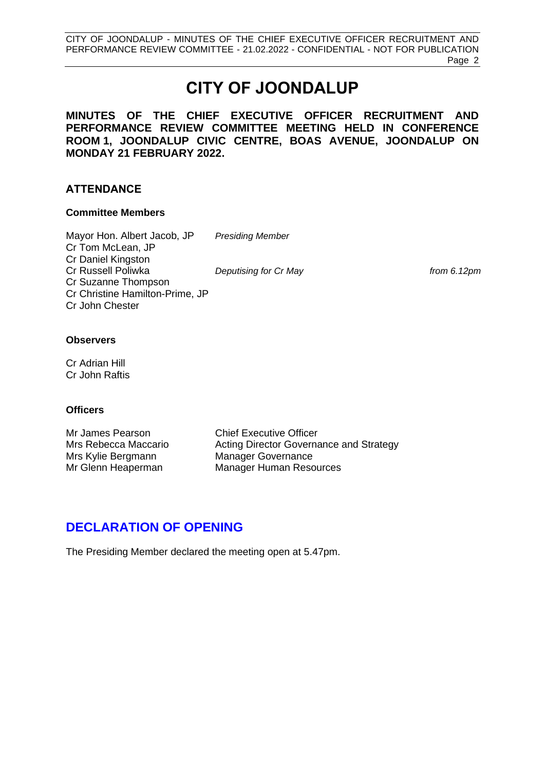# **CITY OF JOONDALUP**

**MINUTES OF THE CHIEF EXECUTIVE OFFICER RECRUITMENT AND PERFORMANCE REVIEW COMMITTEE MEETING HELD IN CONFERENCE ROOM 1, JOONDALUP CIVIC CENTRE, BOAS AVENUE, JOONDALUP ON MONDAY 21 FEBRUARY 2022.**

## **ATTENDANCE**

#### **Committee Members**

Mayor Hon. Albert Jacob, JP *Presiding Member* Cr Tom McLean, JP Cr Daniel Kingston Cr Russell Poliwka *Deputising for Cr May from 6.12pm* Cr Suzanne Thompson Cr Christine Hamilton-Prime, JP Cr John Chester

#### **Observers**

Cr Adrian Hill Cr John Raftis

#### **Officers**

Mr James Pearson Chief Executive Officer Mrs Kylie Bergmann Manager Governance

Mrs Rebecca Maccario **Acting Director Governance and Strategy** Mr Glenn Heaperman Manager Human Resources

# <span id="page-2-0"></span>**DECLARATION OF OPENING**

The Presiding Member declared the meeting open at 5.47pm.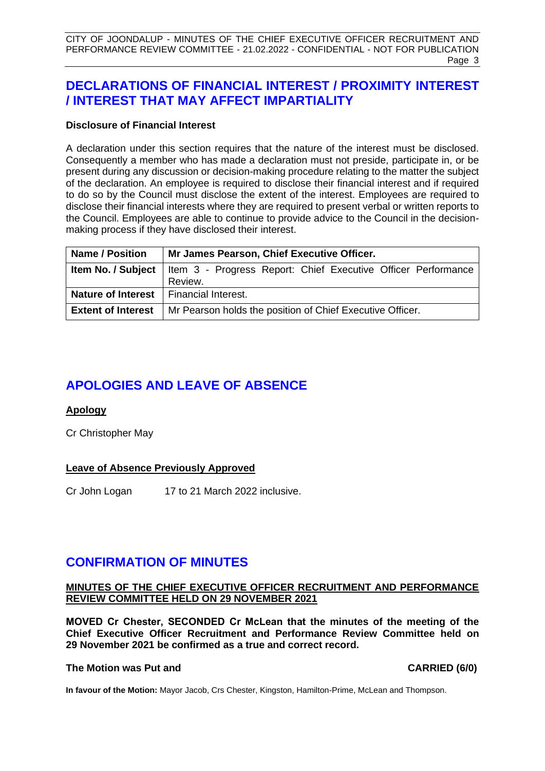# <span id="page-3-0"></span>**DECLARATIONS OF FINANCIAL INTEREST / PROXIMITY INTEREST / INTEREST THAT MAY AFFECT IMPARTIALITY**

#### **Disclosure of Financial Interest**

A declaration under this section requires that the nature of the interest must be disclosed. Consequently a member who has made a declaration must not preside, participate in, or be present during any discussion or decision-making procedure relating to the matter the subject of the declaration. An employee is required to disclose their financial interest and if required to do so by the Council must disclose the extent of the interest. Employees are required to disclose their financial interests where they are required to present verbal or written reports to the Council. Employees are able to continue to provide advice to the Council in the decisionmaking process if they have disclosed their interest.

| <b>Name / Position</b>                          | Mr James Pearson, Chief Executive Officer.                                                |  |  |  |
|-------------------------------------------------|-------------------------------------------------------------------------------------------|--|--|--|
|                                                 | <b>Item No. / Subject</b>   Item 3 - Progress Report: Chief Executive Officer Performance |  |  |  |
|                                                 | Review.                                                                                   |  |  |  |
| <b>Nature of Interest</b>   Financial Interest. |                                                                                           |  |  |  |
| <b>Extent of Interest</b>                       | Mr Pearson holds the position of Chief Executive Officer.                                 |  |  |  |

# <span id="page-3-1"></span>**APOLOGIES AND LEAVE OF ABSENCE**

#### **Apology**

Cr Christopher May

## **Leave of Absence Previously Approved**

Cr John Logan 17 to 21 March 2022 inclusive.

# <span id="page-3-2"></span>**CONFIRMATION OF MINUTES**

#### **MINUTES OF THE CHIEF EXECUTIVE OFFICER RECRUITMENT AND PERFORMANCE REVIEW COMMITTEE HELD ON 29 NOVEMBER 2021**

**MOVED Cr Chester, SECONDED Cr McLean that the minutes of the meeting of the Chief Executive Officer Recruitment and Performance Review Committee held on 29 November 2021 be confirmed as a true and correct record.** 

#### **The Motion was Put and CARRIED (6/0)**

**In favour of the Motion:** Mayor Jacob, Crs Chester, Kingston, Hamilton-Prime, McLean and Thompson.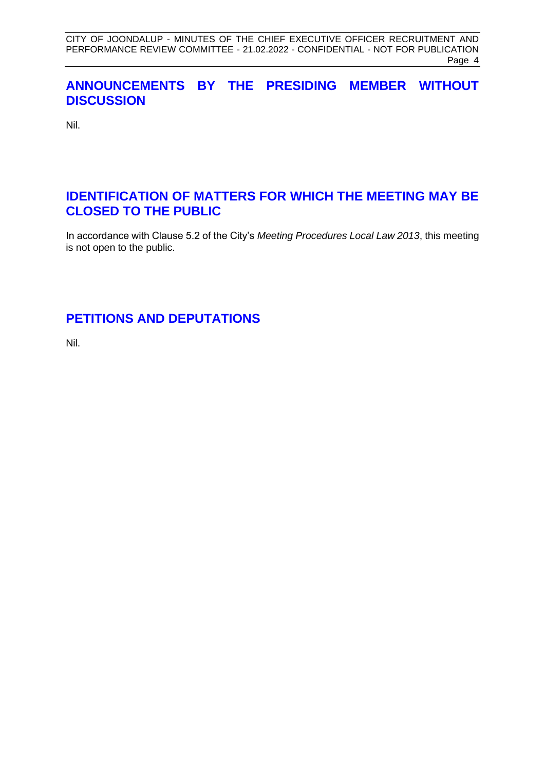# <span id="page-4-0"></span>**ANNOUNCEMENTS BY THE PRESIDING MEMBER WITHOUT DISCUSSION**

Nil.

# <span id="page-4-1"></span>**IDENTIFICATION OF MATTERS FOR WHICH THE MEETING MAY BE CLOSED TO THE PUBLIC**

In accordance with Clause 5.2 of the City's *Meeting Procedures Local Law 2013*, this meeting is not open to the public.

# <span id="page-4-2"></span>**PETITIONS AND DEPUTATIONS**

Nil.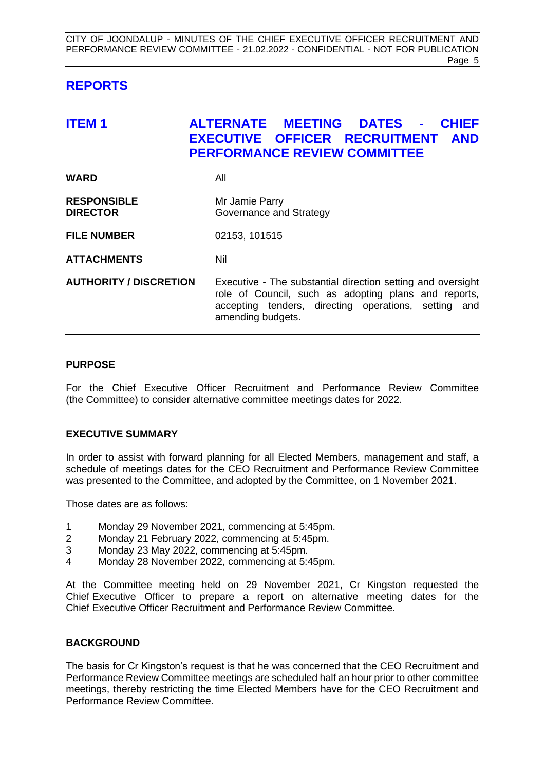# <span id="page-5-0"></span>**REPORTS**

# <span id="page-5-1"></span>**ITEM 1 ALTERNATE MEETING DATES - CHIEF EXECUTIVE OFFICER RECRUITMENT AND PERFORMANCE REVIEW COMMITTEE**

| WARD               | All                     |
|--------------------|-------------------------|
| <b>RESPONSIBLE</b> | Mr Jamie Parry          |
| <b>DIRECTOR</b>    | Governance and Strategy |

**FILE NUMBER** 02153, 101515

**ATTACHMENTS** Nil

**AUTHORITY / DISCRETION** Executive - The substantial direction setting and oversight role of Council, such as adopting plans and reports, accepting tenders, directing operations, setting and amending budgets.

#### **PURPOSE**

For the Chief Executive Officer Recruitment and Performance Review Committee (the Committee) to consider alternative committee meetings dates for 2022.

#### **EXECUTIVE SUMMARY**

In order to assist with forward planning for all Elected Members, management and staff, a schedule of meetings dates for the CEO Recruitment and Performance Review Committee was presented to the Committee, and adopted by the Committee, on 1 November 2021.

Those dates are as follows:

- 1 Monday 29 November 2021, commencing at 5:45pm.
- 2 Monday 21 February 2022, commencing at 5:45pm.
- 3 Monday 23 May 2022, commencing at 5:45pm.
- 4 Monday 28 November 2022, commencing at 5:45pm.

At the Committee meeting held on 29 November 2021, Cr Kingston requested the Chief Executive Officer to prepare a report on alternative meeting dates for the Chief Executive Officer Recruitment and Performance Review Committee.

#### **BACKGROUND**

The basis for Cr Kingston's request is that he was concerned that the CEO Recruitment and Performance Review Committee meetings are scheduled half an hour prior to other committee meetings, thereby restricting the time Elected Members have for the CEO Recruitment and Performance Review Committee.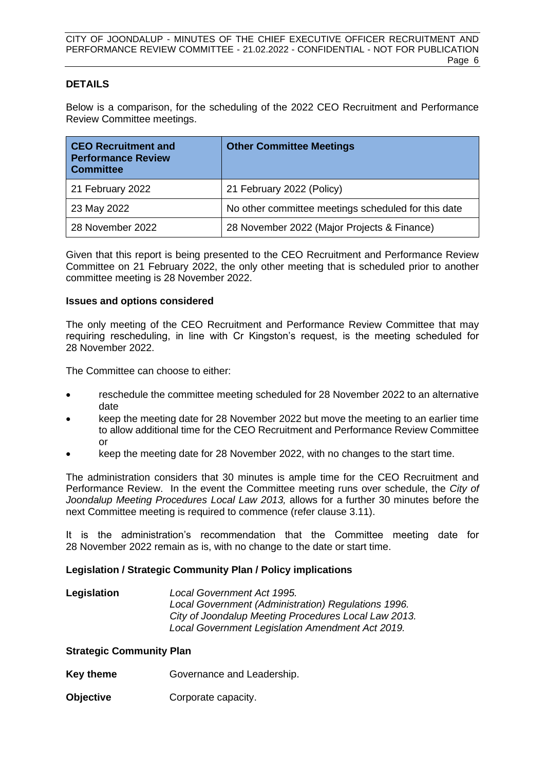#### **DETAILS**

Below is a comparison, for the scheduling of the 2022 CEO Recruitment and Performance Review Committee meetings.

| <b>CEO Recruitment and</b><br><b>Performance Review</b><br><b>Committee</b> | <b>Other Committee Meetings</b>                     |
|-----------------------------------------------------------------------------|-----------------------------------------------------|
| 21 February 2022                                                            | 21 February 2022 (Policy)                           |
| 23 May 2022                                                                 | No other committee meetings scheduled for this date |
| 28 November 2022                                                            | 28 November 2022 (Major Projects & Finance)         |

Given that this report is being presented to the CEO Recruitment and Performance Review Committee on 21 February 2022, the only other meeting that is scheduled prior to another committee meeting is 28 November 2022.

#### **Issues and options considered**

The only meeting of the CEO Recruitment and Performance Review Committee that may requiring rescheduling, in line with Cr Kingston's request, is the meeting scheduled for 28 November 2022.

The Committee can choose to either:

- reschedule the committee meeting scheduled for 28 November 2022 to an alternative date
- keep the meeting date for 28 November 2022 but move the meeting to an earlier time to allow additional time for the CEO Recruitment and Performance Review Committee or
- keep the meeting date for 28 November 2022, with no changes to the start time.

The administration considers that 30 minutes is ample time for the CEO Recruitment and Performance Review. In the event the Committee meeting runs over schedule, the *City of Joondalup Meeting Procedures Local Law 2013,* allows for a further 30 minutes before the next Committee meeting is required to commence (refer clause 3.11).

It is the administration's recommendation that the Committee meeting date for 28 November 2022 remain as is, with no change to the date or start time.

#### **Legislation / Strategic Community Plan / Policy implications**

| Legislation | Local Government Act 1995.                           |
|-------------|------------------------------------------------------|
|             | Local Government (Administration) Regulations 1996.  |
|             | City of Joondalup Meeting Procedures Local Law 2013. |
|             | Local Government Legislation Amendment Act 2019.     |

#### **Strategic Community Plan**

- **Key theme Governance and Leadership.**
- **Objective Corporate capacity.**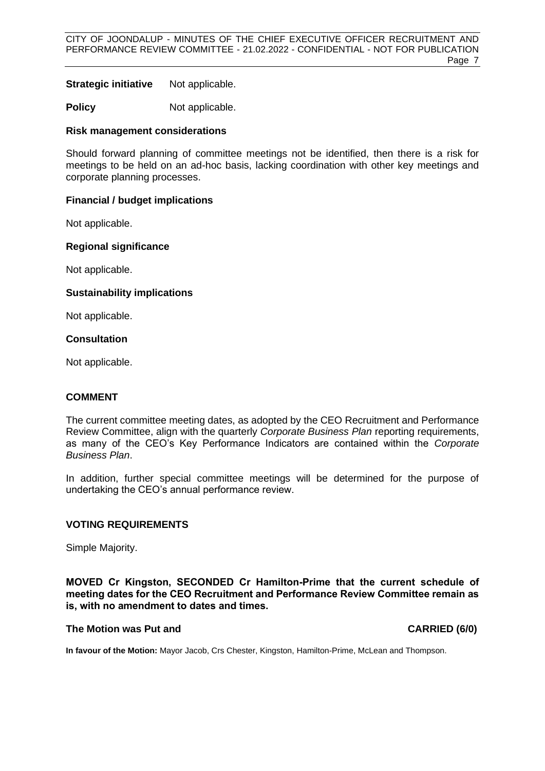**Strategic initiative** Not applicable.

**Policy** Not applicable.

#### **Risk management considerations**

Should forward planning of committee meetings not be identified, then there is a risk for meetings to be held on an ad-hoc basis, lacking coordination with other key meetings and corporate planning processes.

#### **Financial / budget implications**

Not applicable.

#### **Regional significance**

Not applicable.

#### **Sustainability implications**

Not applicable.

#### **Consultation**

Not applicable.

#### **COMMENT**

The current committee meeting dates, as adopted by the CEO Recruitment and Performance Review Committee, align with the quarterly *Corporate Business Plan* reporting requirements, as many of the CEO's Key Performance Indicators are contained within the *Corporate Business Plan*.

In addition, further special committee meetings will be determined for the purpose of undertaking the CEO's annual performance review.

#### **VOTING REQUIREMENTS**

Simple Majority.

**MOVED Cr Kingston, SECONDED Cr Hamilton-Prime that the current schedule of meeting dates for the CEO Recruitment and Performance Review Committee remain as is, with no amendment to dates and times.**

#### **The Motion was Put and CARRIED (6/0)**

**In favour of the Motion:** Mayor Jacob, Crs Chester, Kingston, Hamilton-Prime, McLean and Thompson.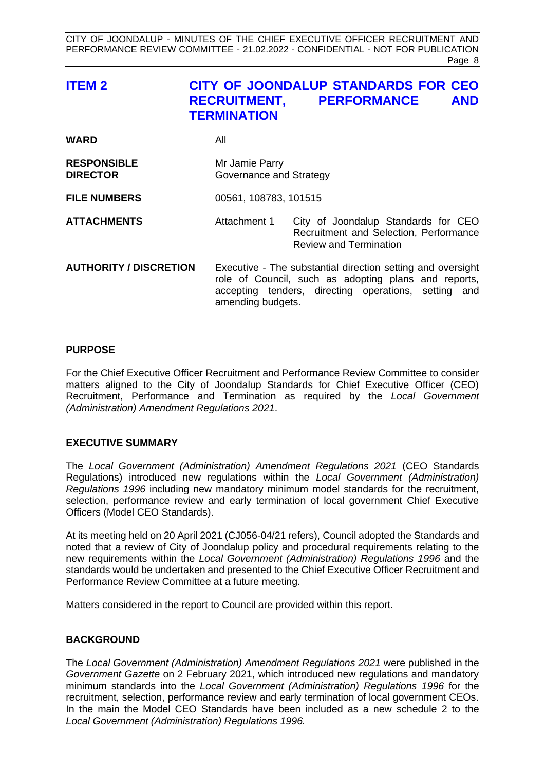<span id="page-8-0"></span>

| <b>ITEM2</b>                          | <b>TERMINATION</b> | <b>CITY OF JOONDALUP STANDARDS FOR CEO</b><br>RECRUITMENT, PERFORMANCE<br><b>AND</b>                                                                                                             |  |  |
|---------------------------------------|--------------------|--------------------------------------------------------------------------------------------------------------------------------------------------------------------------------------------------|--|--|
| <b>WARD</b>                           | All                |                                                                                                                                                                                                  |  |  |
| <b>RESPONSIBLE</b><br><b>DIRECTOR</b> | Mr Jamie Parry     | Governance and Strategy                                                                                                                                                                          |  |  |
| <b>FILE NUMBERS</b>                   |                    | 00561, 108783, 101515                                                                                                                                                                            |  |  |
| <b>ATTACHMENTS</b>                    | Attachment 1       | City of Joondalup Standards for CEO<br>Recruitment and Selection, Performance<br><b>Review and Termination</b>                                                                                   |  |  |
| <b>AUTHORITY / DISCRETION</b>         |                    | Executive - The substantial direction setting and oversight<br>role of Council, such as adopting plans and reports,<br>accepting tenders, directing operations, setting and<br>amending budgets. |  |  |

#### **PURPOSE**

For the Chief Executive Officer Recruitment and Performance Review Committee to consider matters aligned to the City of Joondalup Standards for Chief Executive Officer (CEO) Recruitment, Performance and Termination as required by the *Local Government (Administration) Amendment Regulations 2021*.

#### **EXECUTIVE SUMMARY**

The *Local Government (Administration) Amendment Regulations 2021* (CEO Standards Regulations) introduced new regulations within the *Local Government (Administration) Regulations 1996* including new mandatory minimum model standards for the recruitment, selection, performance review and early termination of local government Chief Executive Officers (Model CEO Standards).

At its meeting held on 20 April 2021 (CJ056-04/21 refers), Council adopted the Standards and noted that a review of City of Joondalup policy and procedural requirements relating to the new requirements within the *Local Government (Administration) Regulations 1996* and the standards would be undertaken and presented to the Chief Executive Officer Recruitment and Performance Review Committee at a future meeting.

Matters considered in the report to Council are provided within this report.

#### **BACKGROUND**

The *Local Government (Administration) Amendment Regulations 2021* were published in the *Government Gazette* on 2 February 2021, which introduced new regulations and mandatory minimum standards into the *Local Government (Administration) Regulations 1996* for the recruitment, selection, performance review and early termination of local government CEOs. In the main the Model CEO Standards have been included as a new schedule 2 to the *Local Government (Administration) Regulations 1996.*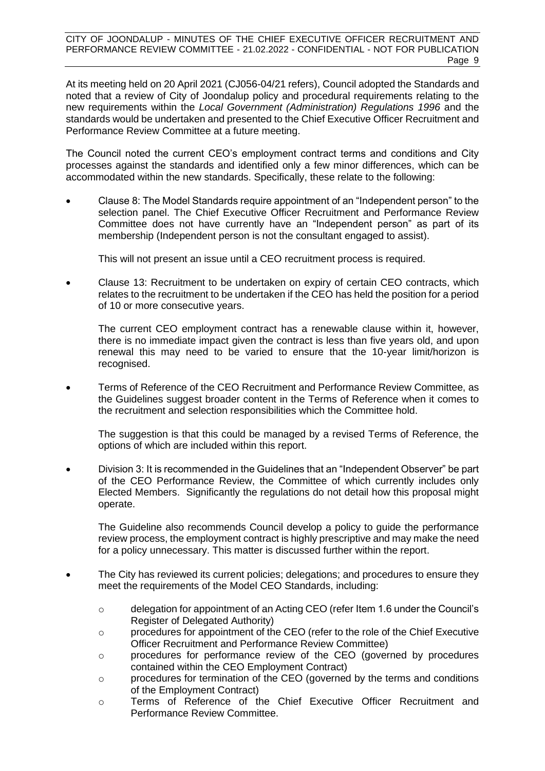At its meeting held on 20 April 2021 (CJ056-04/21 refers), Council adopted the Standards and noted that a review of City of Joondalup policy and procedural requirements relating to the new requirements within the *Local Government (Administration) Regulations 1996* and the standards would be undertaken and presented to the Chief Executive Officer Recruitment and Performance Review Committee at a future meeting.

The Council noted the current CEO's employment contract terms and conditions and City processes against the standards and identified only a few minor differences, which can be accommodated within the new standards. Specifically, these relate to the following:

• Clause 8: The Model Standards require appointment of an "Independent person" to the selection panel. The Chief Executive Officer Recruitment and Performance Review Committee does not have currently have an "Independent person" as part of its membership (Independent person is not the consultant engaged to assist).

This will not present an issue until a CEO recruitment process is required.

• Clause 13: Recruitment to be undertaken on expiry of certain CEO contracts, which relates to the recruitment to be undertaken if the CEO has held the position for a period of 10 or more consecutive years.

The current CEO employment contract has a renewable clause within it, however, there is no immediate impact given the contract is less than five years old, and upon renewal this may need to be varied to ensure that the 10-year limit/horizon is recognised.

• Terms of Reference of the CEO Recruitment and Performance Review Committee, as the Guidelines suggest broader content in the Terms of Reference when it comes to the recruitment and selection responsibilities which the Committee hold.

The suggestion is that this could be managed by a revised Terms of Reference, the options of which are included within this report.

• Division 3: It is recommended in the Guidelines that an "Independent Observer" be part of the CEO Performance Review, the Committee of which currently includes only Elected Members. Significantly the regulations do not detail how this proposal might operate.

The Guideline also recommends Council develop a policy to guide the performance review process, the employment contract is highly prescriptive and may make the need for a policy unnecessary. This matter is discussed further within the report.

- The City has reviewed its current policies; delegations; and procedures to ensure they meet the requirements of the Model CEO Standards, including:
	- $\circ$  delegation for appointment of an Acting CEO (refer Item 1.6 under the Council's Register of Delegated Authority)
	- $\circ$  procedures for appointment of the CEO (refer to the role of the Chief Executive Officer Recruitment and Performance Review Committee)
	- o procedures for performance review of the CEO (governed by procedures contained within the CEO Employment Contract)
	- o procedures for termination of the CEO (governed by the terms and conditions of the Employment Contract)
	- o Terms of Reference of the Chief Executive Officer Recruitment and Performance Review Committee.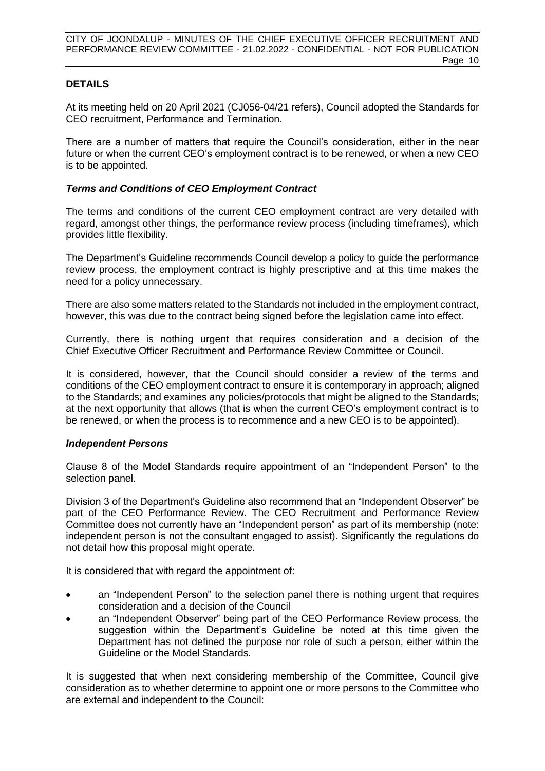#### **DETAILS**

At its meeting held on 20 April 2021 (CJ056-04/21 refers), Council adopted the Standards for CEO recruitment, Performance and Termination.

There are a number of matters that require the Council's consideration, either in the near future or when the current CEO's employment contract is to be renewed, or when a new CEO is to be appointed.

#### *Terms and Conditions of CEO Employment Contract*

The terms and conditions of the current CEO employment contract are very detailed with regard, amongst other things, the performance review process (including timeframes), which provides little flexibility.

The Department's Guideline recommends Council develop a policy to guide the performance review process, the employment contract is highly prescriptive and at this time makes the need for a policy unnecessary.

There are also some matters related to the Standards not included in the employment contract, however, this was due to the contract being signed before the legislation came into effect.

Currently, there is nothing urgent that requires consideration and a decision of the Chief Executive Officer Recruitment and Performance Review Committee or Council.

It is considered, however, that the Council should consider a review of the terms and conditions of the CEO employment contract to ensure it is contemporary in approach; aligned to the Standards; and examines any policies/protocols that might be aligned to the Standards; at the next opportunity that allows (that is when the current CEO's employment contract is to be renewed, or when the process is to recommence and a new CEO is to be appointed).

#### *Independent Persons*

Clause 8 of the Model Standards require appointment of an "Independent Person" to the selection panel.

Division 3 of the Department's Guideline also recommend that an "Independent Observer" be part of the CEO Performance Review. The CEO Recruitment and Performance Review Committee does not currently have an "Independent person" as part of its membership (note: independent person is not the consultant engaged to assist). Significantly the regulations do not detail how this proposal might operate.

It is considered that with regard the appointment of:

- an "Independent Person" to the selection panel there is nothing urgent that requires consideration and a decision of the Council
- an "Independent Observer" being part of the CEO Performance Review process, the suggestion within the Department's Guideline be noted at this time given the Department has not defined the purpose nor role of such a person, either within the Guideline or the Model Standards.

It is suggested that when next considering membership of the Committee, Council give consideration as to whether determine to appoint one or more persons to the Committee who are external and independent to the Council: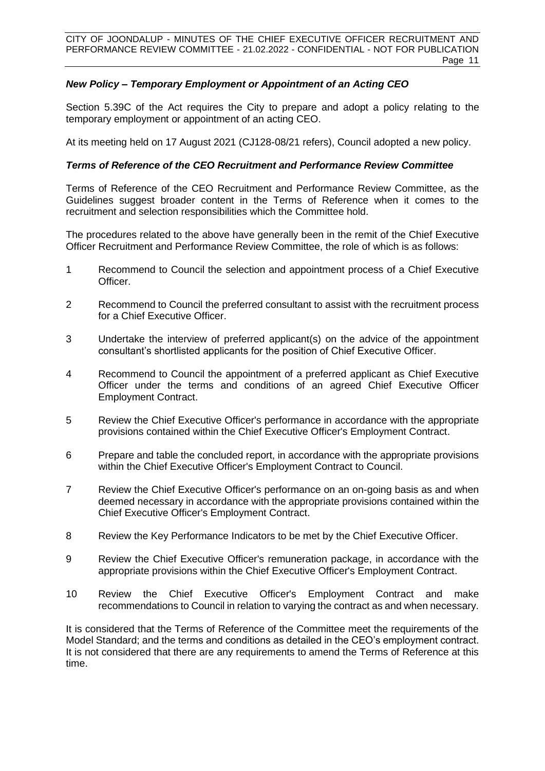## *New Policy – Temporary Employment or Appointment of an Acting CEO*

Section 5.39C of the Act requires the City to prepare and adopt a policy relating to the temporary employment or appointment of an acting CEO.

At its meeting held on 17 August 2021 (CJ128-08/21 refers), Council adopted a new policy.

#### *Terms of Reference of the CEO Recruitment and Performance Review Committee*

Terms of Reference of the CEO Recruitment and Performance Review Committee, as the Guidelines suggest broader content in the Terms of Reference when it comes to the recruitment and selection responsibilities which the Committee hold.

The procedures related to the above have generally been in the remit of the Chief Executive Officer Recruitment and Performance Review Committee, the role of which is as follows:

- 1 Recommend to Council the selection and appointment process of a Chief Executive Officer.
- 2 Recommend to Council the preferred consultant to assist with the recruitment process for a Chief Executive Officer.
- 3 Undertake the interview of preferred applicant(s) on the advice of the appointment consultant's shortlisted applicants for the position of Chief Executive Officer.
- 4 Recommend to Council the appointment of a preferred applicant as Chief Executive Officer under the terms and conditions of an agreed Chief Executive Officer Employment Contract.
- 5 Review the Chief Executive Officer's performance in accordance with the appropriate provisions contained within the Chief Executive Officer's Employment Contract.
- 6 Prepare and table the concluded report, in accordance with the appropriate provisions within the Chief Executive Officer's Employment Contract to Council.
- 7 Review the Chief Executive Officer's performance on an on-going basis as and when deemed necessary in accordance with the appropriate provisions contained within the Chief Executive Officer's Employment Contract.
- 8 Review the Key Performance Indicators to be met by the Chief Executive Officer.
- 9 Review the Chief Executive Officer's remuneration package, in accordance with the appropriate provisions within the Chief Executive Officer's Employment Contract.
- 10 Review the Chief Executive Officer's Employment Contract and make recommendations to Council in relation to varying the contract as and when necessary.

It is considered that the Terms of Reference of the Committee meet the requirements of the Model Standard; and the terms and conditions as detailed in the CEO's employment contract. It is not considered that there are any requirements to amend the Terms of Reference at this time.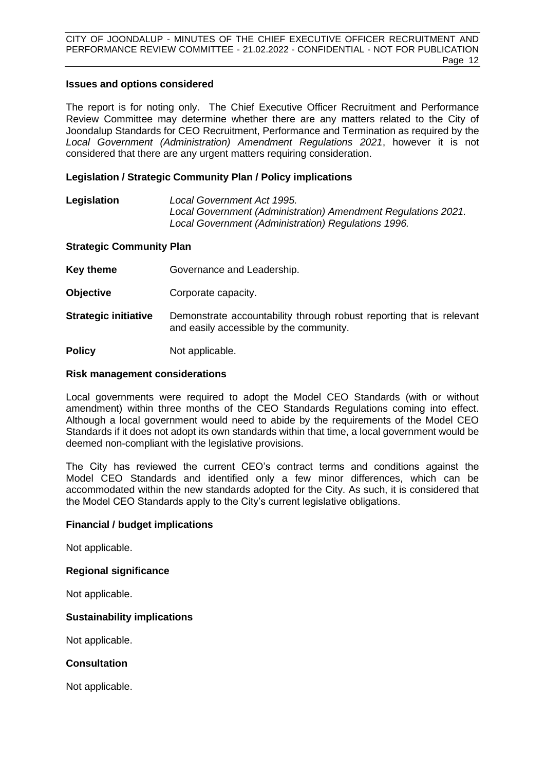#### **Issues and options considered**

The report is for noting only. The Chief Executive Officer Recruitment and Performance Review Committee may determine whether there are any matters related to the City of Joondalup Standards for CEO Recruitment, Performance and Termination as required by the *Local Government (Administration) Amendment Regulations 2021*, however it is not considered that there are any urgent matters requiring consideration.

#### **Legislation / Strategic Community Plan / Policy implications**

#### **Legislation** *Local Government Act 1995. Local Government (Administration) Amendment Regulations 2021. Local Government (Administration) Regulations 1996.*

#### **Strategic Community Plan**

**Key theme Governance and Leadership.** 

- **Objective Corporate capacity.**
- **Strategic initiative** Demonstrate accountability through robust reporting that is relevant and easily accessible by the community.

**Policy** Not applicable.

#### **Risk management considerations**

Local governments were required to adopt the Model CEO Standards (with or without amendment) within three months of the CEO Standards Regulations coming into effect. Although a local government would need to abide by the requirements of the Model CEO Standards if it does not adopt its own standards within that time, a local government would be deemed non-compliant with the legislative provisions.

The City has reviewed the current CEO's contract terms and conditions against the Model CEO Standards and identified only a few minor differences, which can be accommodated within the new standards adopted for the City. As such, it is considered that the Model CEO Standards apply to the City's current legislative obligations.

#### **Financial / budget implications**

Not applicable.

#### **Regional significance**

Not applicable.

#### **Sustainability implications**

Not applicable.

#### **Consultation**

Not applicable.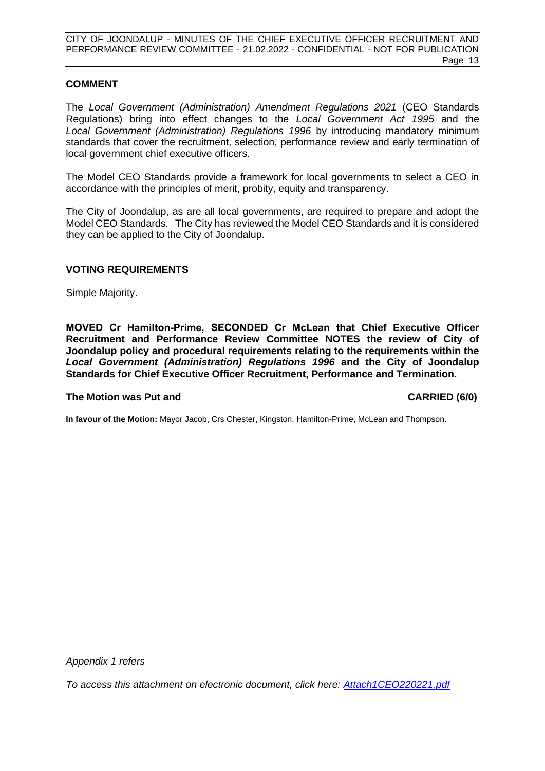#### **COMMENT**

The *Local Government (Administration) Amendment Regulations 2021* (CEO Standards Regulations) bring into effect changes to the *Local Government Act 1995* and the *Local Government (Administration) Regulations 1996* by introducing mandatory minimum standards that cover the recruitment, selection, performance review and early termination of local government chief executive officers.

The Model CEO Standards provide a framework for local governments to select a CEO in accordance with the principles of merit, probity, equity and transparency.

The City of Joondalup, as are all local governments, are required to prepare and adopt the Model CEO Standards. The City has reviewed the Model CEO Standards and it is considered they can be applied to the City of Joondalup.

#### **VOTING REQUIREMENTS**

Simple Majority.

**MOVED Cr Hamilton-Prime, SECONDED Cr McLean that Chief Executive Officer Recruitment and Performance Review Committee NOTES the review of City of Joondalup policy and procedural requirements relating to the requirements within the**  *Local Government (Administration) Regulations 1996* **and the City of Joondalup Standards for Chief Executive Officer Recruitment, Performance and Termination.**

#### **The Motion was Put and CARRIED (6/0)**

**In favour of the Motion:** Mayor Jacob, Crs Chester, Kingston, Hamilton-Prime, McLean and Thompson.

*Appendix 1 refers*

*[To access this attachment on electronic document, click here: Attach1CEO220221.pdf](http://www.joondalup.wa.gov.au/files/committees/CEORP/2022/Attach1CEO220221.pdf)*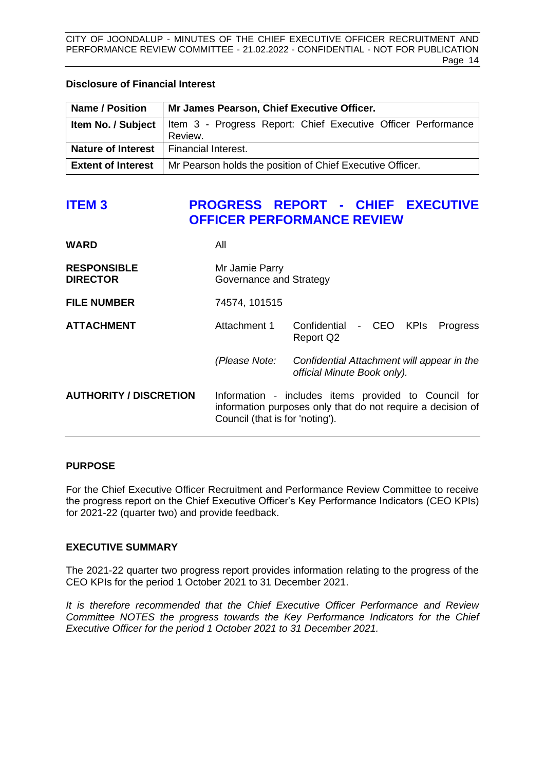#### <span id="page-14-0"></span>**Disclosure of Financial Interest**

| <b>Name / Position</b>                          | Mr James Pearson, Chief Executive Officer.                                                |  |  |
|-------------------------------------------------|-------------------------------------------------------------------------------------------|--|--|
|                                                 | <b>Item No. / Subject</b>   Item 3 - Progress Report: Chief Executive Officer Performance |  |  |
|                                                 | Review.                                                                                   |  |  |
| <b>Nature of Interest</b>   Financial Interest. |                                                                                           |  |  |
| <b>Extent of Interest</b>                       | Mr Pearson holds the position of Chief Executive Officer.                                 |  |  |

# **ITEM 3 PROGRESS REPORT - CHIEF EXECUTIVE OFFICER PERFORMANCE REVIEW**

| <b>WARD</b>                           | All                                       |                                                                                                                     |  |  |          |
|---------------------------------------|-------------------------------------------|---------------------------------------------------------------------------------------------------------------------|--|--|----------|
| <b>RESPONSIBLE</b><br><b>DIRECTOR</b> | Mr Jamie Parry<br>Governance and Strategy |                                                                                                                     |  |  |          |
| <b>FILE NUMBER</b>                    | 74574, 101515                             |                                                                                                                     |  |  |          |
| <b>ATTACHMENT</b>                     | Attachment 1                              | Confidential - CEO KPIs<br>Report Q2                                                                                |  |  | Progress |
|                                       | (Please Note:                             | Confidential Attachment will appear in the<br>official Minute Book only).                                           |  |  |          |
| <b>AUTHORITY / DISCRETION</b>         | Council (that is for 'noting').           | Information - includes items provided to Council for<br>information purposes only that do not require a decision of |  |  |          |

#### **PURPOSE**

For the Chief Executive Officer Recruitment and Performance Review Committee to receive the progress report on the Chief Executive Officer's Key Performance Indicators (CEO KPIs) for 2021-22 (quarter two) and provide feedback.

#### **EXECUTIVE SUMMARY**

The 2021-22 quarter two progress report provides information relating to the progress of the CEO KPIs for the period 1 October 2021 to 31 December 2021.

*It is therefore recommended that the Chief Executive Officer Performance and Review Committee NOTES the progress towards the Key Performance Indicators for the Chief Executive Officer for the period 1 October 2021 to 31 December 2021.*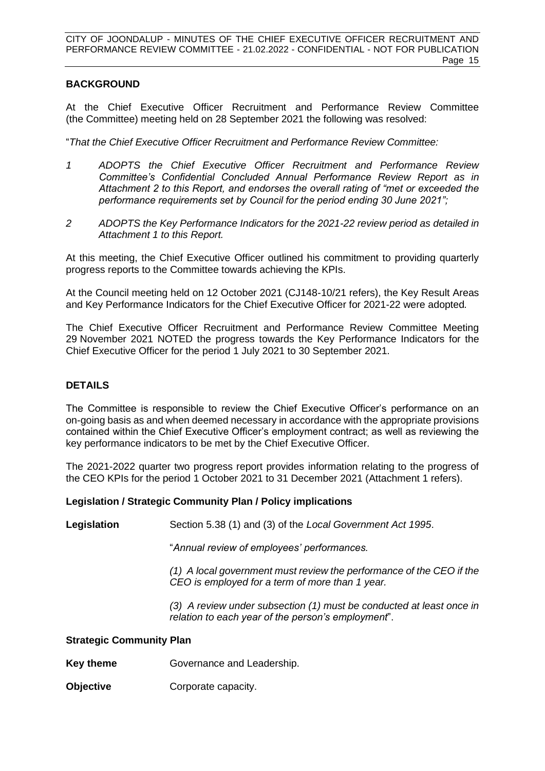#### **BACKGROUND**

At the Chief Executive Officer Recruitment and Performance Review Committee (the Committee) meeting held on 28 September 2021 the following was resolved:

"*That the Chief Executive Officer Recruitment and Performance Review Committee:*

- *1 ADOPTS the Chief Executive Officer Recruitment and Performance Review Committee's Confidential Concluded Annual Performance Review Report as in Attachment 2 to this Report, and endorses the overall rating of "met or exceeded the performance requirements set by Council for the period ending 30 June 2021";*
- *2 ADOPTS the Key Performance Indicators for the 2021-22 review period as detailed in Attachment 1 to this Report.*

At this meeting, the Chief Executive Officer outlined his commitment to providing quarterly progress reports to the Committee towards achieving the KPIs.

At the Council meeting held on 12 October 2021 (CJ148-10/21 refers), the Key Result Areas and Key Performance Indicators for the Chief Executive Officer for 2021-22 were adopted*.*

The Chief Executive Officer Recruitment and Performance Review Committee Meeting 29 November 2021 NOTED the progress towards the Key Performance Indicators for the Chief Executive Officer for the period 1 July 2021 to 30 September 2021.

#### **DETAILS**

The Committee is responsible to review the Chief Executive Officer's performance on an on-going basis as and when deemed necessary in accordance with the appropriate provisions contained within the Chief Executive Officer's employment contract; as well as reviewing the key performance indicators to be met by the Chief Executive Officer.

The 2021-2022 quarter two progress report provides information relating to the progress of the CEO KPIs for the period 1 October 2021 to 31 December 2021 (Attachment 1 refers).

#### **Legislation / Strategic Community Plan / Policy implications**

**Legislation** Section 5.38 (1) and (3) of the *Local Government Act 1995*.

"*Annual review of employees' performances.*

*(1) A local government must review the performance of the CEO if the CEO is employed for a term of more than 1 year.*

*(3) A review under subsection (1) must be conducted at least once in relation to each year of the person's employment*".

#### **Strategic Community Plan**

- **Key theme** Governance and Leadership.
- **Objective Corporate capacity.**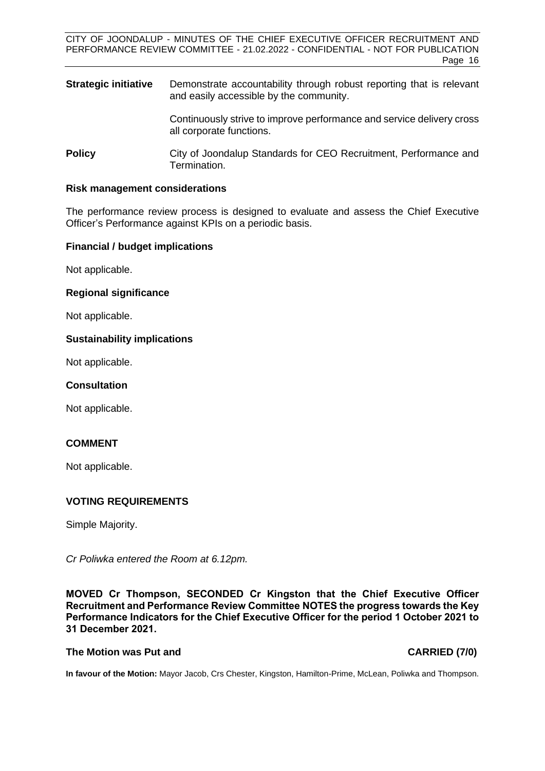**Strategic initiative** Demonstrate accountability through robust reporting that is relevant and easily accessible by the community.

> Continuously strive to improve performance and service delivery cross all corporate functions.

**Policy City of Joondalup Standards for CEO Recruitment, Performance and** Termination.

#### **Risk management considerations**

The performance review process is designed to evaluate and assess the Chief Executive Officer's Performance against KPIs on a periodic basis.

#### **Financial / budget implications**

Not applicable.

#### **Regional significance**

Not applicable.

#### **Sustainability implications**

Not applicable.

#### **Consultation**

Not applicable.

#### **COMMENT**

Not applicable.

#### **VOTING REQUIREMENTS**

Simple Majority.

*Cr Poliwka entered the Room at 6.12pm.* 

**MOVED Cr Thompson, SECONDED Cr Kingston that the Chief Executive Officer Recruitment and Performance Review Committee NOTES the progress towards the Key Performance Indicators for the Chief Executive Officer for the period 1 October 2021 to 31 December 2021.**

#### **The Motion was Put and CARRIED (7/0)**

**In favour of the Motion:** Mayor Jacob, Crs Chester, Kingston, Hamilton-Prime, McLean, Poliwka and Thompson.